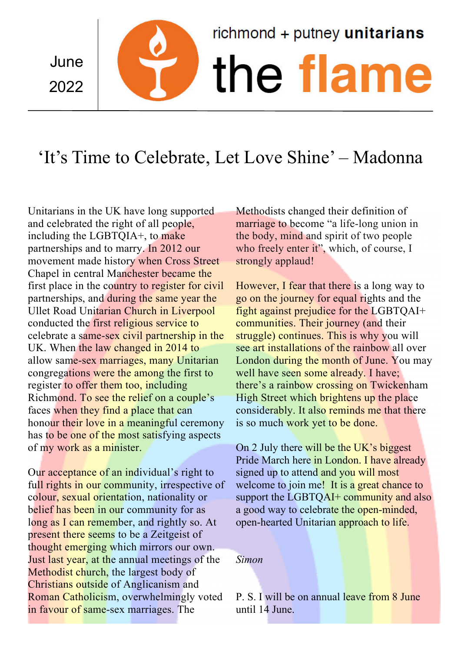June 2022

# $richmond + putney$  unitarians the flam

# 'It's Time to Celebrate, Let Love Shine' – Madonna

Unitarians in the UK have long supported and celebrated the right of all people, including the LGBTQIA+, to make partnerships and to marry. In 2012 our movement made history when Cross Street Chapel in central Manchester became the first place in the country to register for civil partnerships, and during the same year the Ullet Road Unitarian Church in Liverpool conducted the first religious service to celebrate a same-sex civil partnership in the UK. When the law changed in 2014 to allow same-sex marriages, many Unitarian congregations were the among the first to register to offer them too, including Richmond. To see the relief on a couple's faces when they find a place that can honour their love in a meaningful ceremony has to be one of the most satisfying aspects of my work as a minister.

Our acceptance of an individual's right to full rights in our community, irrespective of colour, sexual orientation, nationality or belief has been in our community for as long as I can remember, and rightly so. At present there seems to be a Zeitgeist of thought emerging which mirrors our own. Just last year, at the annual meetings of the Methodist church, the largest body of Christians outside of Anglicanism and Roman Catholicism, overwhelmingly voted in favour of same-sex marriages. The

Methodists changed their definition of marriage to become "a life-long union in the body, mind and spirit of two people who freely enter it", which, of course, I strongly applaud!

However, I fear that there is a long way to go on the journey for equal rights and the fight against prejudice for the LGBTQAI+ communities. Their journey (and their struggle) continues. This is why you will see art installations of the rainbow all over London during the month of June. You may well have seen some already. I have; there's a rainbow crossing on Twickenham High Street which brightens up the place considerably. It also reminds me that there is so much work yet to be done.

On 2 July there will be the UK's biggest Pride March here in London. I have already signed up to attend and you will most welcome to join me! It is a great chance to support the LGBTQAI+ community and also a good way to celebrate the open-minded, open-hearted Unitarian approach to life.

# *Simon*

P. S. I will be on annual leave from 8 June until 14 June.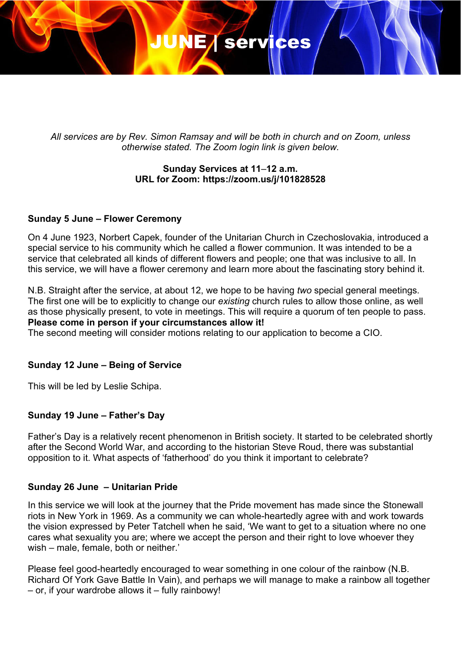# JUNE Services

*All services are by Rev. Simon Ramsay and will be both in church and on Zoom, unless otherwise stated. The Zoom login link is given below.*

# **Sunday Services at 11**–**12 a.m. URL for Zoom: https://zoom.us/j/101828528**

## **Sunday 5 June – Flower Ceremony**

On 4 June 1923, Norbert Capek, founder of the Unitarian Church in Czechoslovakia, introduced a special service to his community which he called a flower communion. It was intended to be a service that celebrated all kinds of different flowers and people; one that was inclusive to all. In this service, we will have a flower ceremony and learn more about the fascinating story behind it.

N.B. Straight after the service, at about 12, we hope to be having *two* special general meetings. The first one will be to explicitly to change our *existing* church rules to allow those online, as well as those physically present, to vote in meetings. This will require a quorum of ten people to pass. **Please come in person if your circumstances allow it!**

The second meeting will consider motions relating to our application to become a CIO.

## **Sunday 12 June – Being of Service**

This will be led by Leslie Schipa.

## **Sunday 19 June – Father's Day**

Father's Day is a relatively recent phenomenon in British society. It started to be celebrated shortly after the Second World War, and according to the historian Steve Roud, there was substantial opposition to it. What aspects of 'fatherhood' do you think it important to celebrate?

## **Sunday 26 June – Unitarian Pride**

In this service we will look at the journey that the Pride movement has made since the Stonewall riots in New York in 1969. As a community we can whole-heartedly agree with and work towards the vision expressed by Peter Tatchell when he said, 'We want to get to a situation where no one cares what sexuality you are; where we accept the person and their right to love whoever they wish – male, female, both or neither.'

Please feel good-heartedly encouraged to wear something in one colour of the rainbow (N.B. Richard Of York Gave Battle In Vain), and perhaps we will manage to make a rainbow all together – or, if your wardrobe allows it – fully rainbowy!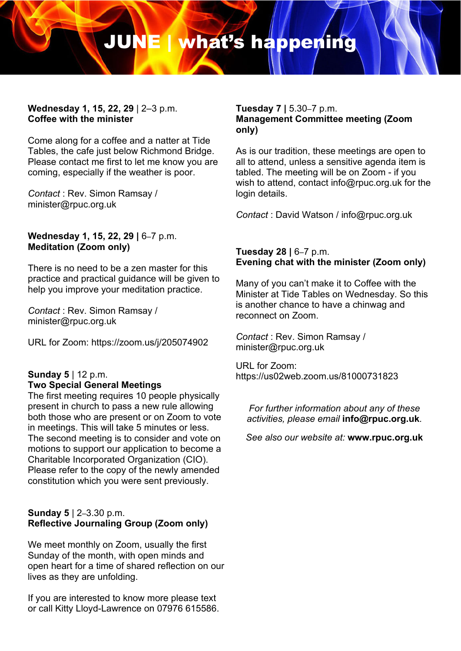# JUNE | what's happening

#### **Wednesday 1, 15, 22, 29** | 2–3 p.m. **Coffee with the minister**

Come along for a coffee and a natter at Tide Tables, the cafe just below Richmond Bridge. Please contact me first to let me know you are coming, especially if the weather is poor.

*Contact* : Rev. Simon Ramsay / minister@rpuc.org.uk

#### Wednesday 1, 15, 22, 29 | 6-7 p.m. **Meditation (Zoom only)**

There is no need to be a zen master for this practice and practical guidance will be given to help you improve your meditation practice.

*Contact* : Rev. Simon Ramsay / minister@rpuc.org.uk

URL for Zoom: https://zoom.us/j/205074902

# **Sunday 5** | 12 p.m.

# **Two Special General Meetings**

The first meeting requires 10 people physically present in church to pass a new rule allowing both those who are present or on Zoom to vote in meetings. This will take 5 minutes or less. The second meeting is to consider and vote on motions to support our application to become a Charitable Incorporated Organization (CIO). Please refer to the copy of the newly amended constitution which you were sent previously.

# **Sunday 5** | 2–3.30 p.m. **Reflective Journaling Group (Zoom only)**

We meet monthly on Zoom, usually the first Sunday of the month, with open minds and open heart for a time of shared reflection on our lives as they are unfolding.

If you are interested to know more please text or call Kitty Lloyd-Lawrence on 07976 615586.

#### **Tuesday 7 |** 5.30–7 p.m. **Management Committee meeting (Zoom only)**

As is our tradition, these meetings are open to all to attend, unless a sensitive agenda item is tabled. The meeting will be on Zoom - if you wish to attend, contact info@rpuc.org.uk for the login details.

*Contact* : David Watson / info@rpuc.org.uk

## **Tuesday 28 |** 6–7 p.m. **Evening chat with the minister (Zoom only)**

Many of you can't make it to Coffee with the Minister at Tide Tables on Wednesday. So this is another chance to have a chinwag and reconnect on Zoom.

*Contact* : Rev. Simon Ramsay / minister@rpuc.org.uk

URL for Zoom: https://us02web.zoom.us/81000731823

*For further information about any of these activities, please email* **info@rpuc.org.uk***.*

*See also our website at:* **www.rpuc.org.uk**